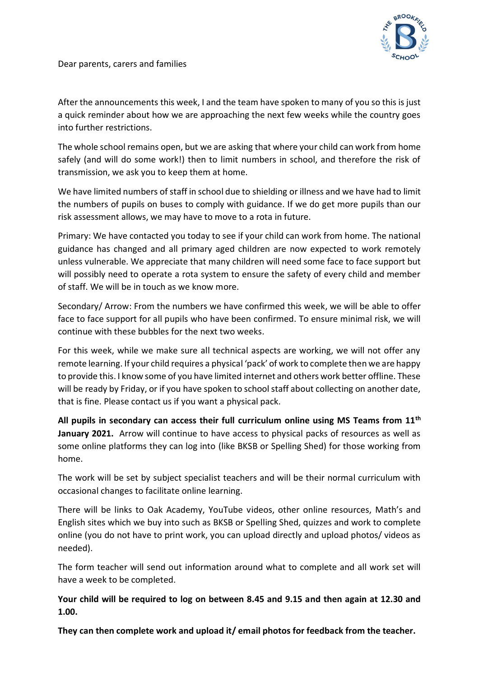

Dear parents, carers and families

After the announcements this week, I and the team have spoken to many of you so this is just a quick reminder about how we are approaching the next few weeks while the country goes into further restrictions.

The whole school remains open, but we are asking that where your child can work from home safely (and will do some work!) then to limit numbers in school, and therefore the risk of transmission, we ask you to keep them at home.

We have limited numbers of staff in school due to shielding or illness and we have had to limit the numbers of pupils on buses to comply with guidance. If we do get more pupils than our risk assessment allows, we may have to move to a rota in future.

Primary: We have contacted you today to see if your child can work from home. The national guidance has changed and all primary aged children are now expected to work remotely unless vulnerable. We appreciate that many children will need some face to face support but will possibly need to operate a rota system to ensure the safety of every child and member of staff. We will be in touch as we know more.

Secondary/ Arrow: From the numbers we have confirmed this week, we will be able to offer face to face support for all pupils who have been confirmed. To ensure minimal risk, we will continue with these bubbles for the next two weeks.

For this week, while we make sure all technical aspects are working, we will not offer any remote learning. If your child requires a physical 'pack' of work to complete then we are happy to provide this. I know some of you have limited internet and others work better offline. These will be ready by Friday, or if you have spoken to school staff about collecting on another date, that is fine. Please contact us if you want a physical pack.

**All pupils in secondary can access their full curriculum online using MS Teams from 11th** January 2021. Arrow will continue to have access to physical packs of resources as well as some online platforms they can log into (like BKSB or Spelling Shed) for those working from home.

The work will be set by subject specialist teachers and will be their normal curriculum with occasional changes to facilitate online learning.

There will be links to Oak Academy, YouTube videos, other online resources, Math's and English sites which we buy into such as BKSB or Spelling Shed, quizzes and work to complete online (you do not have to print work, you can upload directly and upload photos/ videos as needed).

The form teacher will send out information around what to complete and all work set will have a week to be completed.

**Your child will be required to log on between 8.45 and 9.15 and then again at 12.30 and 1.00.** 

**They can then complete work and upload it/ email photos for feedback from the teacher.**